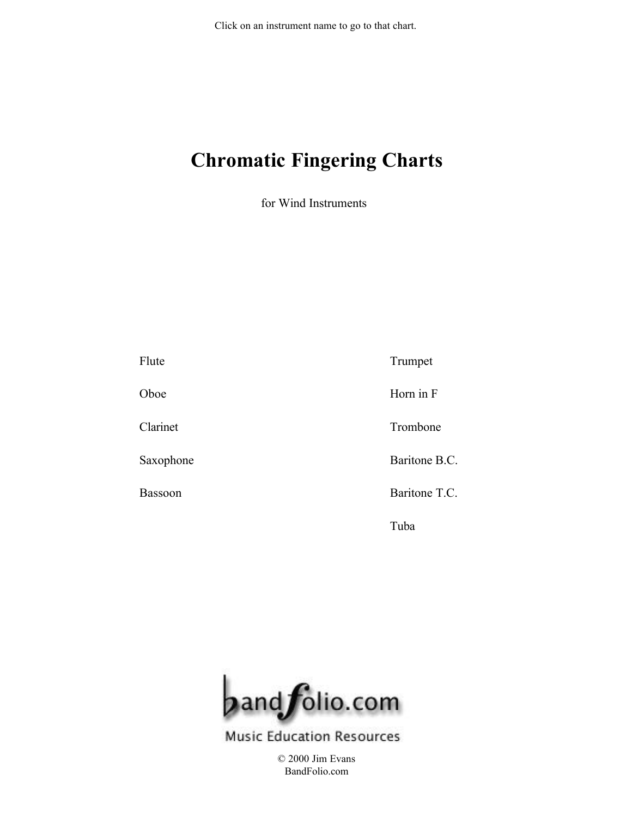<span id="page-0-0"></span>Click on an instrument name to go to that chart.

### **Chromatic Fingering Charts**

for Wind Instruments

[Flute](#page-1-0) [Oboe](#page-2-0) [Clarinet](#page-3-0) [Saxophone](#page-4-0) [Bassoon](#page-5-0) [Trumpet](#page-6-0) [Horn in F](#page-7-0) [Trombone](#page-8-0) [Baritone B.C.](#page-9-0) [Baritone T.C.](#page-10-0) [Tuba](#page-11-0)



**Music Education Resources** 

[© 2000 Jim Evans](http://www.bandfolio.com) BandFolio.com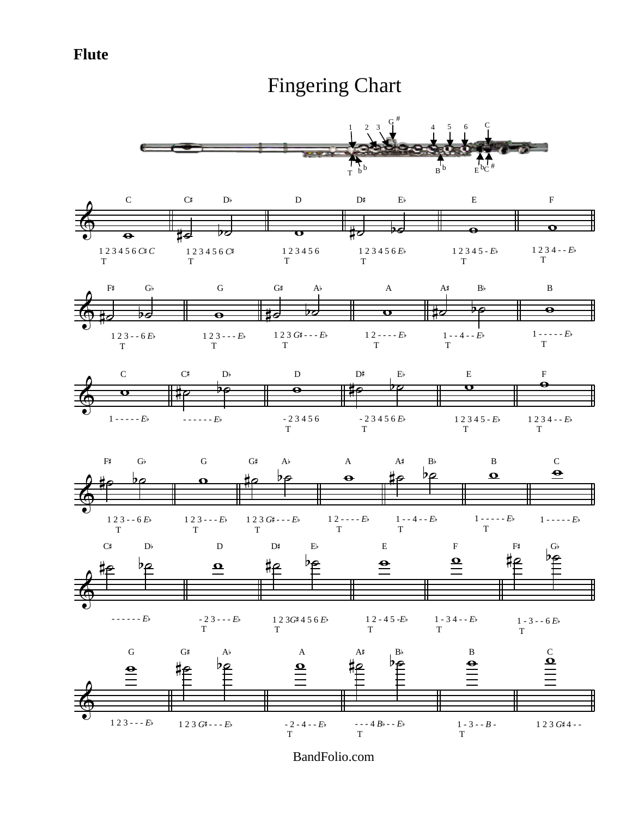### <span id="page-1-0"></span>**Flute**

### [Fingering Chart](#page-0-0)

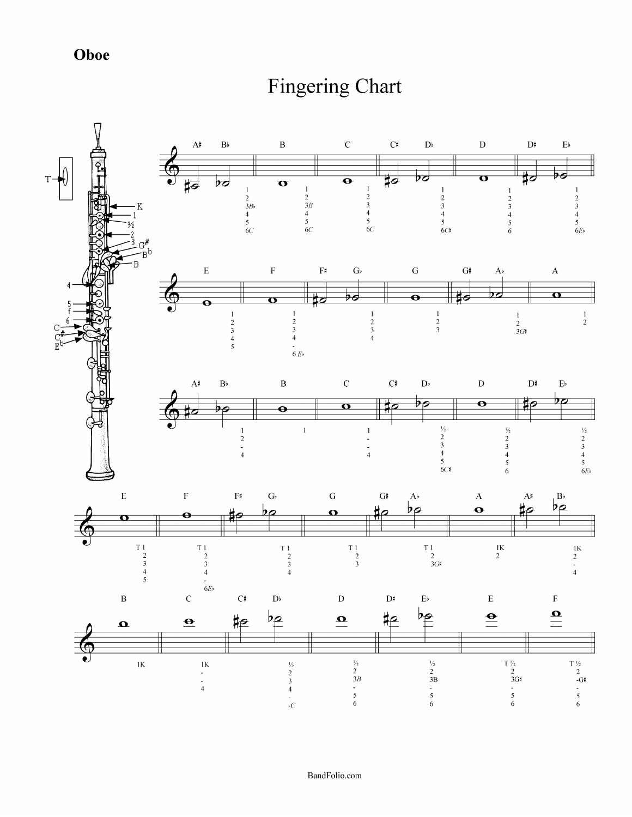Oboe

# **Fingering Chart**

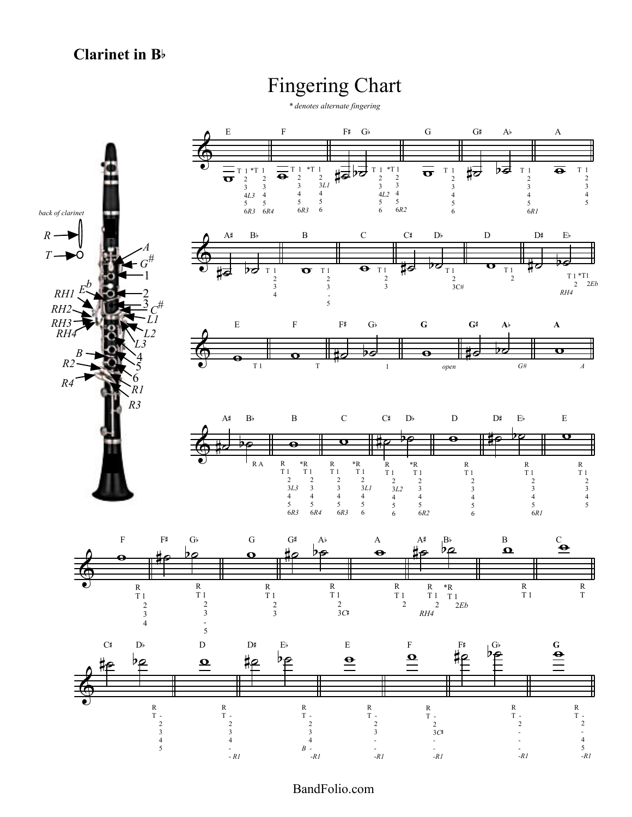### <span id="page-3-0"></span>**Clarinet in B**b

### [Fingering Chart](#page-0-0)

*\* denotes alternate fingering*

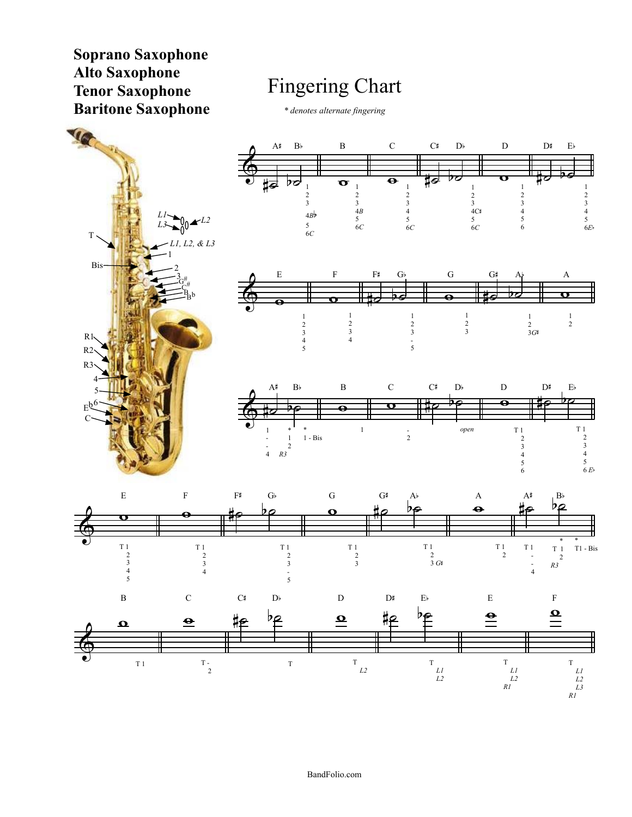<span id="page-4-0"></span>**Soprano Saxophone Alto Saxophone Tenor Saxophone Baritone Saxophone**

## [Fingering Chart](#page-0-0)

*\* denotes alternate fingering*

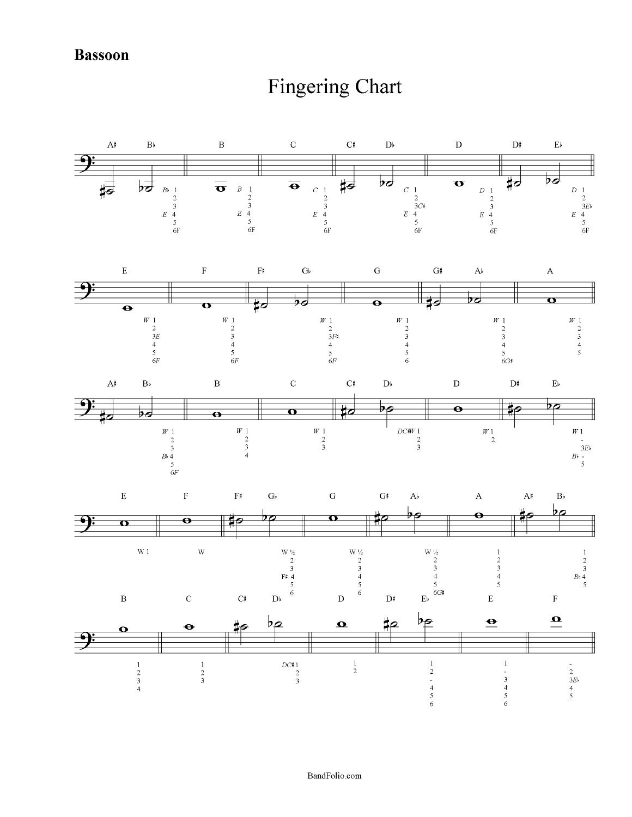**Bassoon** 

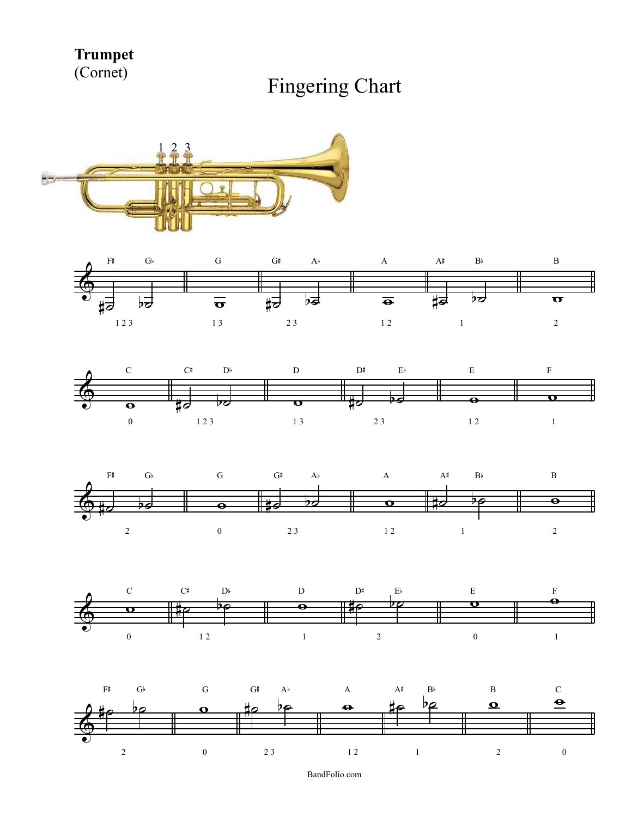<span id="page-6-0"></span>**Trumpet** (Cornet)











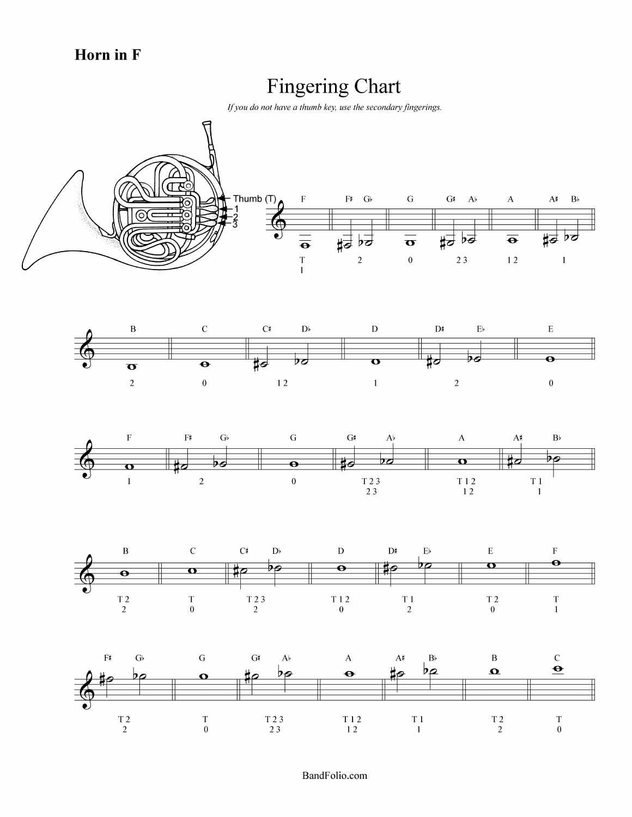Horn in F

# **Fingering Chart**

If you do not have a thumb key, use the secondary fingerings.









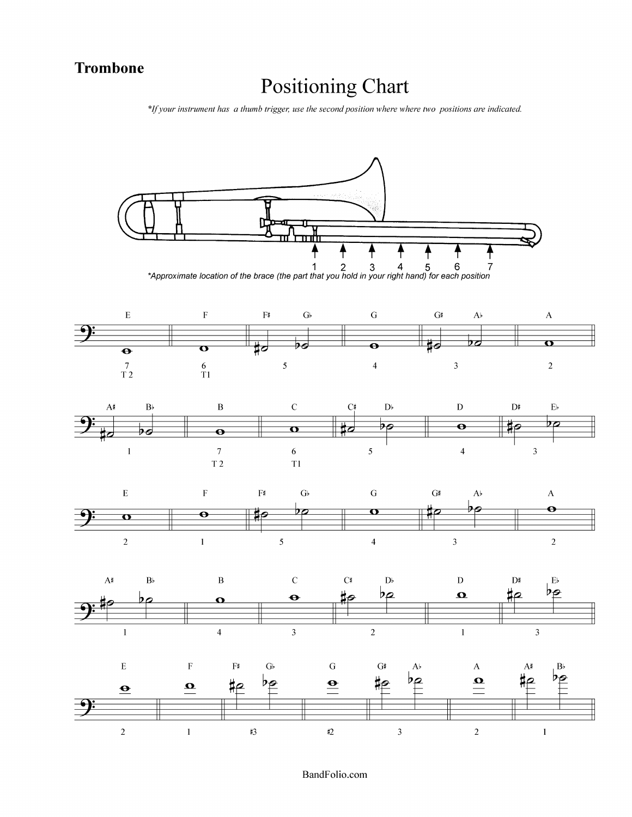#### **Trombone**

## **Positioning Chart**

\*If your instrument has a thumb trigger, use the second position where where two positions are indicated.

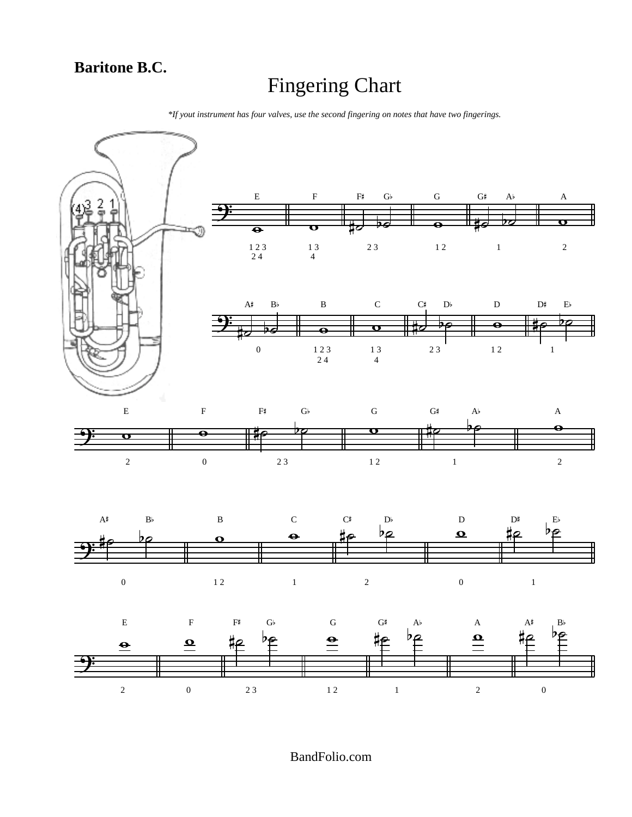*\*If yout instrument has four valves, use the second fingering on notes that have two fingerings.*

<span id="page-9-0"></span>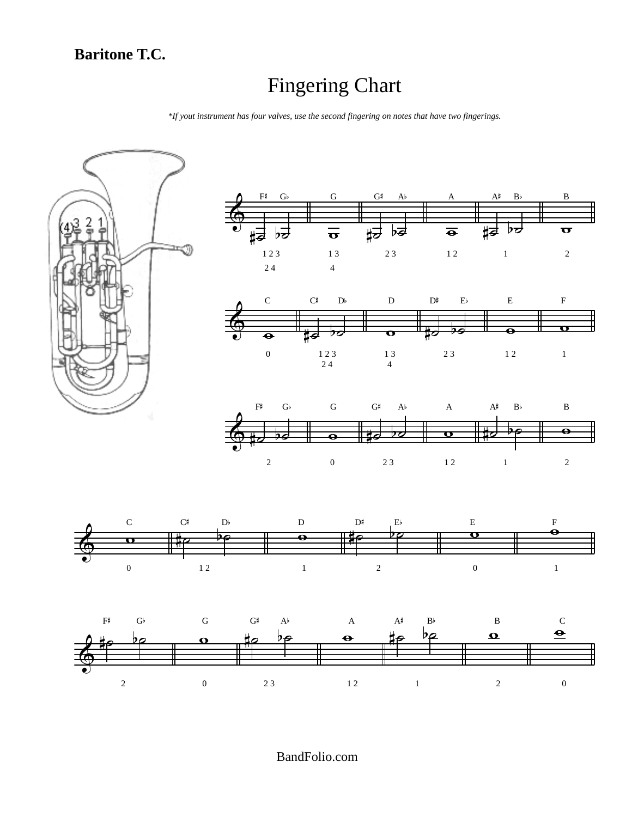*\*If yout instrument has four valves, use the second fingering on notes that have two fingerings.*

<span id="page-10-0"></span>